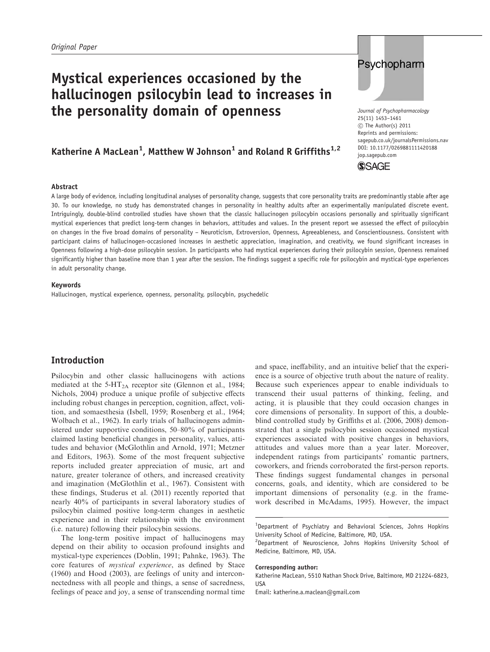## Mystical experiences occasioned by the hallucinogen psilocybin lead to increases in the personality domain of openness



Journal of Psychopharmacology 25(11) 1453–1461 C The Author(s) 2011 Reprints and permissions: sagepub.co.uk/journalsPermissions.nav DOI: 10.1177/0269881111420188 jop.sagepub.com**SSAGE** 

# Katherine A MacLean $^1$ , Matthew W Johnson $^1$  and Roland R Griffiths $^{1,2}$

#### Abstract

A large body of evidence, including longitudinal analyses of personality change, suggests that core personality traits are predominantly stable after age 30. To our knowledge, no study has demonstrated changes in personality in healthy adults after an experimentally manipulated discrete event. Intriguingly, double-blind controlled studies have shown that the classic hallucinogen psilocybin occasions personally and spiritually significant mystical experiences that predict long-term changes in behaviors, attitudes and values. In the present report we assessed the effect of psilocybin on changes in the five broad domains of personality – Neuroticism, Extroversion, Openness, Agreeableness, and Conscientiousness. Consistent with participant claims of hallucinogen-occasioned increases in aesthetic appreciation, imagination, and creativity, we found significant increases in Openness following a high-dose psilocybin session. In participants who had mystical experiences during their psilocybin session, Openness remained significantly higher than baseline more than 1 year after the session. The findings suggest a specific role for psilocybin and mystical-type experiences in adult personality change.

#### Keywords

Hallucinogen, mystical experience, openness, personality, psilocybin, psychedelic

## Introduction

Psilocybin and other classic hallucinogens with actions mediated at the 5-HT<sub>2A</sub> receptor site (Glennon et al., 1984; Nichols, 2004) produce a unique profile of subjective effects including robust changes in perception, cognition, affect, volition, and somaesthesia (Isbell, 1959; Rosenberg et al., 1964; Wolbach et al., 1962). In early trials of hallucinogens administered under supportive conditions, 50–80% of participants claimed lasting beneficial changes in personality, values, attitudes and behavior (McGlothlin and Arnold, 1971; Metzner and Editors, 1963). Some of the most frequent subjective reports included greater appreciation of music, art and nature, greater tolerance of others, and increased creativity and imagination (McGlothlin et al., 1967). Consistent with these findings, Studerus et al. (2011) recently reported that nearly 40% of participants in several laboratory studies of psilocybin claimed positive long-term changes in aesthetic experience and in their relationship with the environment (i.e. nature) following their psilocybin sessions.

The long-term positive impact of hallucinogens may depend on their ability to occasion profound insights and mystical-type experiences (Doblin, 1991; Pahnke, 1963). The core features of mystical experience, as defined by Stace (1960) and Hood (2003), are feelings of unity and interconnectedness with all people and things, a sense of sacredness, feelings of peace and joy, a sense of transcending normal time

and space, ineffability, and an intuitive belief that the experience is a source of objective truth about the nature of reality. Because such experiences appear to enable individuals to transcend their usual patterns of thinking, feeling, and acting, it is plausible that they could occasion changes in core dimensions of personality. In support of this, a doubleblind controlled study by Griffiths et al. (2006, 2008) demonstrated that a single psilocybin session occasioned mystical experiences associated with positive changes in behaviors, attitudes and values more than a year later. Moreover, independent ratings from participants' romantic partners, coworkers, and friends corroborated the first-person reports. These findings suggest fundamental changes in personal concerns, goals, and identity, which are considered to be important dimensions of personality (e.g. in the framework described in McAdams, 1995). However, the impact

#### Corresponding author:

Katherine MacLean, 5510 Nathan Shock Drive, Baltimore, MD 21224-6823, USA

Email: katherine.a.maclean@gmail.com

<sup>&</sup>lt;sup>1</sup>Department of Psychiatry and Behavioral Sciences, Johns Hopkins University School of Medicine, Baltimore, MD, USA.

<sup>&</sup>lt;sup>2</sup>Department of Neuroscience, Johns Hopkins University School of Medicine, Baltimore, MD, USA.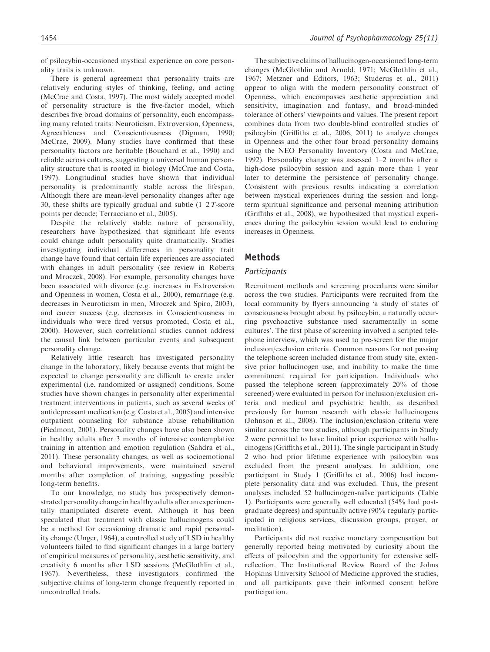There is general agreement that personality traits are relatively enduring styles of thinking, feeling, and acting (McCrae and Costa, 1997). The most widely accepted model of personality structure is the five-factor model, which describes five broad domains of personality, each encompassing many related traits: Neuroticism, Extroversion, Openness, Agreeableness and Conscientiousness (Digman, 1990; McCrae, 2009). Many studies have confirmed that these personality factors are heritable (Bouchard et al., 1990) and reliable across cultures, suggesting a universal human personality structure that is rooted in biology (McCrae and Costa, 1997). Longitudinal studies have shown that individual personality is predominantly stable across the lifespan. Although there are mean-level personality changes after age 30, these shifts are typically gradual and subtle  $(1-2T\text{-score})$ points per decade; Terracciano et al., 2005).

Despite the relatively stable nature of personality, researchers have hypothesized that significant life events could change adult personality quite dramatically. Studies investigating individual differences in personality trait change have found that certain life experiences are associated with changes in adult personality (see review in Roberts and Mroczek, 2008). For example, personality changes have been associated with divorce (e.g. increases in Extroversion and Openness in women, Costa et al., 2000), remarriage (e.g. decreases in Neuroticism in men, Mroczek and Spiro, 2003), and career success (e.g. decreases in Conscientiousness in individuals who were fired versus promoted, Costa et al., 2000). However, such correlational studies cannot address the causal link between particular events and subsequent personality change.

Relatively little research has investigated personality change in the laboratory, likely because events that might be expected to change personality are difficult to create under experimental (i.e. randomized or assigned) conditions. Some studies have shown changes in personality after experimental treatment interventions in patients, such as several weeks of antidepressant medication (e.g. Costa et al., 2005) and intensive outpatient counseling for substance abuse rehabilitation (Piedmont, 2001). Personality changes have also been shown in healthy adults after 3 months of intensive contemplative training in attention and emotion regulation (Sahdra et al., 2011). These personality changes, as well as socioemotional and behavioral improvements, were maintained several months after completion of training, suggesting possible long-term benefits.

To our knowledge, no study has prospectively demonstrated personality change in healthy adults after an experimentally manipulated discrete event. Although it has been speculated that treatment with classic hallucinogens could be a method for occasioning dramatic and rapid personality change (Unger, 1964), a controlled study of LSD in healthy volunteers failed to find significant changes in a large battery of empirical measures of personality, aesthetic sensitivity, and creativity 6 months after LSD sessions (McGlothlin et al., 1967). Nevertheless, these investigators confirmed the subjective claims of long-term change frequently reported in uncontrolled trials.

The subjective claims of hallucinogen-occasioned long-term changes (McGlothlin and Arnold, 1971; McGlothlin et al., 1967; Metzner and Editors, 1963; Studerus et al., 2011) appear to align with the modern personality construct of Openness, which encompasses aesthetic appreciation and sensitivity, imagination and fantasy, and broad-minded tolerance of others' viewpoints and values. The present report combines data from two double-blind controlled studies of psilocybin (Griffiths et al., 2006, 2011) to analyze changes in Openness and the other four broad personality domains using the NEO Personality Inventory (Costa and McCrae, 1992). Personality change was assessed 1–2 months after a high-dose psilocybin session and again more than 1 year later to determine the persistence of personality change. Consistent with previous results indicating a correlation between mystical experiences during the session and longterm spiritual significance and personal meaning attribution (Griffiths et al., 2008), we hypothesized that mystical experiences during the psilocybin session would lead to enduring increases in Openness.

## Methods

## **Participants**

Recruitment methods and screening procedures were similar across the two studies. Participants were recruited from the local community by flyers announcing 'a study of states of consciousness brought about by psilocybin, a naturally occurring psychoactive substance used sacramentally in some cultures'. The first phase of screening involved a scripted telephone interview, which was used to pre-screen for the major inclusion/exclusion criteria. Common reasons for not passing the telephone screen included distance from study site, extensive prior hallucinogen use, and inability to make the time commitment required for participation. Individuals who passed the telephone screen (approximately 20% of those screened) were evaluated in person for inclusion/exclusion criteria and medical and psychiatric health, as described previously for human research with classic hallucinogens (Johnson et al., 2008). The inclusion/exclusion criteria were similar across the two studies, although participants in Study 2 were permitted to have limited prior experience with hallucinogens (Griffiths et al., 2011). The single participant in Study 2 who had prior lifetime experience with psilocybin was excluded from the present analyses. In addition, one participant in Study 1 (Griffiths et al., 2006) had incomplete personality data and was excluded. Thus, the present analyses included 52 hallucinogen-naïve participants (Table 1). Participants were generally well educated (54% had postgraduate degrees) and spiritually active (90% regularly participated in religious services, discussion groups, prayer, or meditation).

Participants did not receive monetary compensation but generally reported being motivated by curiosity about the effects of psilocybin and the opportunity for extensive selfreflection. The Institutional Review Board of the Johns Hopkins University School of Medicine approved the studies, and all participants gave their informed consent before participation.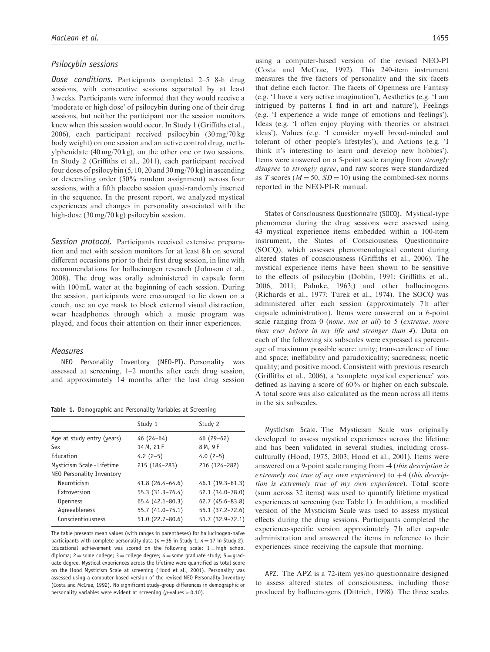#### Psilocybin sessions

Dose conditions. Participants completed 2–5 8-h drug sessions, with consecutive sessions separated by at least 3 weeks. Participants were informed that they would receive a 'moderate or high dose' of psilocybin during one of their drug sessions, but neither the participant nor the session monitors knew when this session would occur. In Study 1 (Griffiths et al., 2006), each participant received psilocybin (30 mg/70 kg body weight) on one session and an active control drug, methylphenidate (40 mg/70 kg), on the other one or two sessions. In Study 2 (Griffiths et al., 2011), each participant received four doses of psilocybin (5, 10, 20 and 30 mg/70 kg) in ascending or descending order (50% random assignment) across four sessions, with a fifth placebo session quasi-randomly inserted in the sequence. In the present report, we analyzed mystical experiences and changes in personality associated with the high-dose (30 mg/70 kg) psilocybin session.

Session protocol. Participants received extensive preparation and met with session monitors for at least 8 h on several different occasions prior to their first drug session, in line with recommendations for hallucinogen research (Johnson et al., 2008). The drug was orally administered in capsule form with 100 mL water at the beginning of each session. During the session, participants were encouraged to lie down on a couch, use an eye mask to block external visual distraction, wear headphones through which a music program was played, and focus their attention on their inner experiences.

#### Measures

NEO Personality Inventory (NEO-PI). Personality was assessed at screening, 1–2 months after each drug session, and approximately 14 months after the last drug session

Table 1. Demographic and Personality Variables at Screening

|                            | Study 1             | Study 2             |
|----------------------------|---------------------|---------------------|
| Age at study entry (years) | $46(24-64)$         | $46(29-62)$         |
| Sex                        | 14 M, 21 F          | 8M, 9F              |
| Education                  | $4.2(2-5)$          | $4.0(2-5)$          |
| Mysticism Scale - Lifetime | 215 (184-283)       | 216 (124-282)       |
| NEO Personality Inventory  |                     |                     |
| Neuroticism                | $41.8(26.4 - 64.6)$ | $46.1(19.3-61.3)$   |
| Extroversion               | 55.3 (31.3-76.4)    | 52.1 (34.0-78.0)    |
| <b>Openness</b>            | $65.4(42.1 - 80.3)$ | $62.7(45.6-83.8)$   |
| Agreeableness              | 55.7 (41.0-75.1)    | 55.1 (37.2-72.6)    |
| Conscientiousness          | $51.0(22.7-80.6)$   | $51.7(32.9 - 72.1)$ |

The table presents mean values (with ranges in parentheses) for hallucinogen-naïve participants with complete personality data ( $n = 35$  in Study 1;  $n = 17$  in Study 2). Educational achievement was scored on the following scale:  $1 =$ high school diploma; 2 = some college; 3 = college degree; 4 = some graduate study; 5 = graduate degree. Mystical experiences across the lifetime were quantified as total score on the Hood Mysticism Scale at screening (Hood et al., 2001). Personality was assessed using a computer-based version of the revised NEO Personality Inventory (Costa and McCrae, 1992). No significant study-group differences in demographic or personality variables were evident at screening ( $p$ -values  $> 0.10$ ).

using a computer-based version of the revised NEO-PI (Costa and McCrae, 1992). This 240-item instrument measures the five factors of personality and the six facets that define each factor. The facets of Openness are Fantasy (e.g. 'I have a very active imagination'), Aesthetics (e.g. 'I am intrigued by patterns I find in art and nature'), Feelings (e.g. 'I experience a wide range of emotions and feelings'), Ideas (e.g. 'I often enjoy playing with theories or abstract ideas'), Values (e.g. 'I consider myself broad-minded and tolerant of other people's lifestyles'), and Actions (e.g. 'I think it's interesting to learn and develop new hobbies'). Items were answered on a 5-point scale ranging from strongly disagree to strongly agree, and raw scores were standardized as T scores ( $M = 50$ ,  $SD = 10$ ) using the combined-sex norms reported in the NEO-PI-R manual.

States of Consciousness Questionnaire (SOCQ). Mystical-type phenomena during the drug sessions were assessed using 43 mystical experience items embedded within a 100-item instrument, the States of Consciousness Questionnaire (SOCQ), which assesses phenomenological content during altered states of consciousness (Griffiths et al., 2006). The mystical experience items have been shown to be sensitive to the effects of psilocybin (Doblin, 1991; Griffiths et al., 2006, 2011; Pahnke, 1963;) and other hallucinogens (Richards et al., 1977; Turek et al., 1974). The SOCQ was administered after each session (approximately 7 h after capsule administration). Items were answered on a 6-point scale ranging from 0 (none, not at all) to 5 (extreme, more than ever before in my life and stronger than 4). Data on each of the following six subscales were expressed as percentage of maximum possible score: unity; transcendence of time and space; ineffability and paradoxicality; sacredness; noetic quality; and positive mood. Consistent with previous research (Griffiths et al., 2006), a 'complete mystical experience' was defined as having a score of 60% or higher on each subscale. A total score was also calculated as the mean across all items in the six subscales.

Mysticism Scale. The Mysticism Scale was originally developed to assess mystical experiences across the lifetime and has been validated in several studies, including crossculturally (Hood, 1975, 2003; Hood et al., 2001). Items were answered on a 9-point scale ranging from -4 (this description is extremely not true of my own experience) to  $+4$  (this description is extremely true of my own experience). Total score (sum across 32 items) was used to quantify lifetime mystical experiences at screening (see Table 1). In addition, a modified version of the Mysticism Scale was used to assess mystical effects during the drug sessions. Participants completed the experience-specific version approximately 7 h after capsule administration and answered the items in reference to their experiences since receiving the capsule that morning.

APZ. The APZ is a 72-item yes/no questionnaire designed to assess altered states of consciousness, including those produced by hallucinogens (Dittrich, 1998). The three scales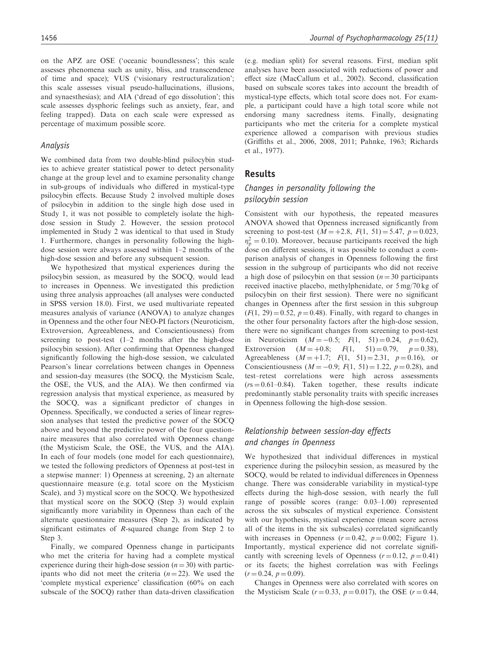on the APZ are OSE ('oceanic boundlessness'; this scale assesses phenomena such as unity, bliss, and transcendence of time and space); VUS ('visionary restructuralization'; this scale assesses visual pseudo-hallucinations, illusions, and synaesthesias); and AIA ('dread of ego dissolution'; this scale assesses dysphoric feelings such as anxiety, fear, and feeling trapped). Data on each scale were expressed as percentage of maximum possible score.

## Analysis

We combined data from two double-blind psilocybin studies to achieve greater statistical power to detect personality change at the group level and to examine personality change in sub-groups of individuals who differed in mystical-type psilocybin effects. Because Study 2 involved multiple doses of psilocybin in addition to the single high dose used in Study 1, it was not possible to completely isolate the highdose session in Study 2. However, the session protocol implemented in Study 2 was identical to that used in Study 1. Furthermore, changes in personality following the highdose session were always assessed within 1–2 months of the high-dose session and before any subsequent session.

We hypothesized that mystical experiences during the psilocybin session, as measured by the SOCQ, would lead to increases in Openness. We investigated this prediction using three analysis approaches (all analyses were conducted in SPSS version 18.0). First, we used multivariate repeated measures analysis of variance (ANOVA) to analyze changes in Openness and the other four NEO-PI factors (Neuroticism, Extroversion, Agreeableness, and Conscientiousness) from screening to post-test (1–2 months after the high-dose psilocybin session). After confirming that Openness changed significantly following the high-dose session, we calculated Pearson's linear correlations between changes in Openness and session-day measures (the SOCQ, the Mysticism Scale, the OSE, the VUS, and the AIA). We then confirmed via regression analysis that mystical experience, as measured by the SOCQ, was a significant predictor of changes in Openness. Specifically, we conducted a series of linear regression analyses that tested the predictive power of the SOCQ above and beyond the predictive power of the four questionnaire measures that also correlated with Openness change (the Mysticism Scale, the OSE, the VUS, and the AIA). In each of four models (one model for each questionnaire), we tested the following predictors of Openness at post-test in a stepwise manner: 1) Openness at screening, 2) an alternate questionnaire measure (e.g. total score on the Mysticism Scale), and 3) mystical score on the SOCQ. We hypothesized that mystical score on the SOCQ (Step 3) would explain significantly more variability in Openness than each of the alternate questionnaire measures (Step 2), as indicated by significant estimates of R-squared change from Step 2 to Step 3.

Finally, we compared Openness change in participants who met the criteria for having had a complete mystical experience during their high-dose session  $(n = 30)$  with participants who did not meet the criteria  $(n = 22)$ . We used the 'complete mystical experience' classification (60% on each subscale of the SOCQ) rather than data-driven classification

(e.g. median split) for several reasons. First, median split analyses have been associated with reductions of power and effect size (MacCallum et al., 2002). Second, classification based on subscale scores takes into account the breadth of mystical-type effects, which total score does not. For example, a participant could have a high total score while not endorsing many sacredness items. Finally, designating participants who met the criteria for a complete mystical experience allowed a comparison with previous studies (Griffiths et al., 2006, 2008, 2011; Pahnke, 1963; Richards et al., 1977).

## Results

## Changes in personality following the psilocybin session

Consistent with our hypothesis, the repeated measures ANOVA showed that Openness increased significantly from screening to post-test  $(M = +2.8, F(1, 51) = 5.47, p = 0.023,$  $\eta_{\rm p}^2 = 0.10$ ). Moreover, because participants received the high dose on different sessions, it was possible to conduct a comparison analysis of changes in Openness following the first session in the subgroup of participants who did not receive a high dose of psilocybin on that session  $(n = 30$  participants received inactive placebo, methylphenidate, or 5 mg/70 kg of psilocybin on their first session). There were no significant changes in Openness after the first session in this subgroup  $(F(1, 29) = 0.52, p = 0.48)$ . Finally, with regard to changes in the other four personality factors after the high-dose session, there were no significant changes from screening to post-test in Neuroticism  $(M = -0.5; F(1, 51) = 0.24, p = 0.62)$ , Extroversion  $(M = +0.8; \quad F(1, 51) = 0.79, \quad p = 0.38)$ , Agreeableness  $(M = +1.7; F(1, 51) = 2.31, p = 0.16)$ , or Conscientiousness  $(M = -0.9; F(1, 51) = 1.22, p = 0.28)$ , and test–retest correlations were high across assessments  $(rs = 0.61 - 0.84)$ . Taken together, these results indicate predominantly stable personality traits with specific increases in Openness following the high-dose session.

## Relationship between session-day effects and changes in Openness

We hypothesized that individual differences in mystical experience during the psilocybin session, as measured by the SOCQ, would be related to individual differences in Openness change. There was considerable variability in mystical-type effects during the high-dose session, with nearly the full range of possible scores (range: 0.03–1.00) represented across the six subscales of mystical experience. Consistent with our hypothesis, mystical experience (mean score across all of the items in the six subscales) correlated significantly with increases in Openness  $(r=0.42, p=0.002;$  Figure 1). Importantly, mystical experience did not correlate significantly with screening levels of Openness  $(r=0.12, p=0.41)$ or its facets; the highest correlation was with Feelings  $(r = 0.24, p = 0.09).$ 

Changes in Openness were also correlated with scores on the Mysticism Scale ( $r = 0.33$ ,  $p = 0.017$ ), the OSE ( $r = 0.44$ ,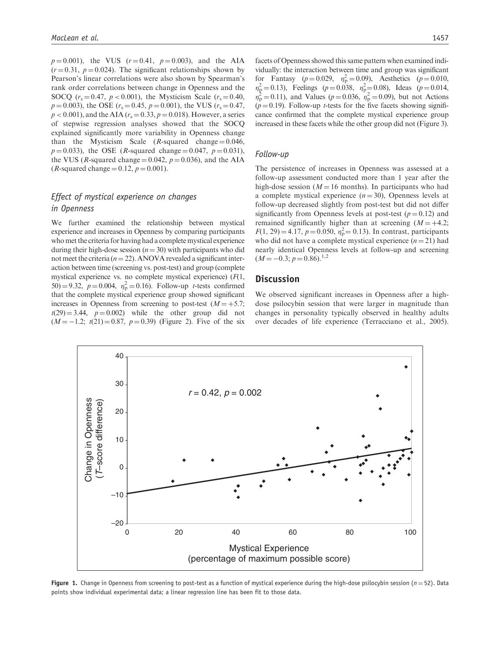$p = 0.001$ , the VUS ( $r = 0.41$ ,  $p = 0.003$ ), and the AIA  $(r = 0.31, p = 0.024)$ . The significant relationships shown by Pearson's linear correlations were also shown by Spearman's rank order correlations between change in Openness and the SOCQ ( $r_s = 0.47$ ,  $p < 0.001$ ), the Mysticism Scale ( $r_s = 0.40$ ,  $p = 0.003$ ), the OSE ( $r_s = 0.45$ ,  $p = 0.001$ ), the VUS ( $r_s = 0.47$ ,  $p < 0.001$ ), and the AIA ( $r<sub>s</sub> = 0.33$ ,  $p = 0.018$ ). However, a series of stepwise regression analyses showed that the SOCQ explained significantly more variability in Openness change than the Mysticism Scale (*R*-squared change  $= 0.046$ ,  $p = 0.033$ ), the OSE (*R*-squared change = 0.047,  $p = 0.031$ ), the VUS (*R*-squared change  $= 0.042$ ,  $p = 0.036$ ), and the AIA (*R*-squared change = 0.12,  $p = 0.001$ ).

## Effect of mystical experience on changes in Openness

We further examined the relationship between mystical experience and increases in Openness by comparing participants who met the criteria for having had a complete mystical experience during their high-dose session ( $n = 30$ ) with participants who did not meet the criteria ( $n = 22$ ). ANOVA revealed a significant interaction between time (screening vs. post-test) and group (complete mystical experience vs. no complete mystical experience)  $(F(1,$ 50) = 9.32,  $p = 0.004$ ,  $\eta_p^2 = 0.16$ ). Follow-up *t*-tests confirmed that the complete mystical experience group showed significant increases in Openness from screening to post-test  $(M = +5.7;$  $t(29) = 3.44$ ,  $p = 0.002$ ) while the other group did not  $(M = -1.2; t(21) = 0.87, p = 0.39)$  (Figure 2). Five of the six

facets of Openness showed this same pattern when examined individually: the interaction between time and group was significant for Fantasy ( $p = 0.029$ ,  $\eta_p^2 = 0.09$ ), Aesthetics ( $p = 0.010$ ,  $\eta_p^2 = 0.13$ ), Feelings ( $p = 0.038$ ,  $\eta_p^2 = 0.08$ ), Ideas ( $p = 0.014$ ,  $\eta_{\rm p}^2 = 0.11$ ), and Values ( $p = 0.036$ ,  $\eta_{\rm p}^2 = 0.09$ ), but not Actions  $(p = 0.19)$ . Follow-up *t*-tests for the five facets showing significance confirmed that the complete mystical experience group increased in these facets while the other group did not (Figure 3).

## Follow-up

The persistence of increases in Openness was assessed at a follow-up assessment conducted more than 1 year after the high-dose session ( $M = 16$  months). In participants who had a complete mystical experience  $(n = 30)$ , Openness levels at follow-up decreased slightly from post-test but did not differ significantly from Openness levels at post-test  $(p=0.12)$  and remained significantly higher than at screening  $(M = +4.2;$  $F(1, 29) = 4.17, p = 0.050, \eta_{\rm p}^2 = 0.13$ ). In contrast, participants who did not have a complete mystical experience  $(n = 21)$  had nearly identical Openness levels at follow-up and screening  $(M = -0.3; p = 0.86).^{1,2}$ 

## **Discussion**

We observed significant increases in Openness after a highdose psilocybin session that were larger in magnitude than changes in personality typically observed in healthy adults over decades of life experience (Terracciano et al., 2005).



Figure 1. Change in Openness from screening to post-test as a function of mystical experience during the high-dose psilocybin session ( $n = 52$ ). Data points show individual experimental data; a linear regression line has been fit to those data.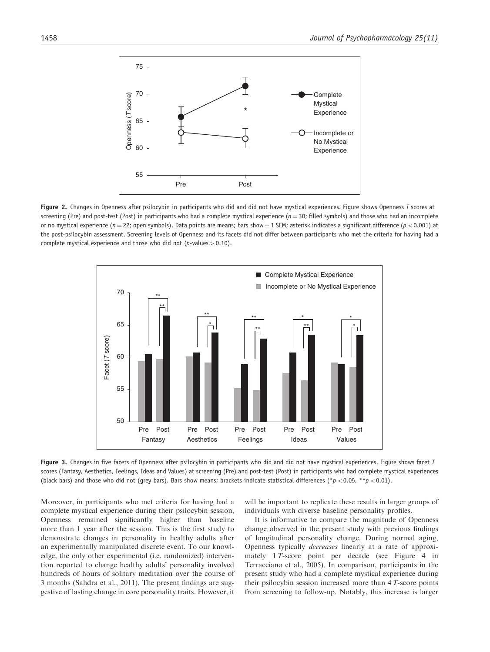

Figure 2. Changes in Openness after psilocybin in participants who did and did not have mystical experiences. Figure shows Openness T scores at screening (Pre) and post-test (Post) in participants who had a complete mystical experience ( $n = 30$ ; filled symbols) and those who had an incomplete or no mystical experience ( $n = 22$ ; open symbols). Data points are means; bars show  $\pm 1$  SEM; asterisk indicates a significant difference ( $p < 0.001$ ) at the post-psilocybin assessment. Screening levels of Openness and its facets did not differ between participants who met the criteria for having had a complete mystical experience and those who did not (p-values  $> 0.10$ ).



Figure 3. Changes in five facets of Openness after psilocybin in participants who did and did not have mystical experiences. Figure shows facet  $T$ scores (Fantasy, Aesthetics, Feelings, Ideas and Values) at screening (Pre) and post-test (Post) in participants who had complete mystical experiences (black bars) and those who did not (grey bars). Bars show means; brackets indicate statistical differences (\*p < 0.05, \*\*p < 0.01).

Moreover, in participants who met criteria for having had a complete mystical experience during their psilocybin session, Openness remained significantly higher than baseline more than 1 year after the session. This is the first study to demonstrate changes in personality in healthy adults after an experimentally manipulated discrete event. To our knowledge, the only other experimental (i.e. randomized) intervention reported to change healthy adults' personality involved hundreds of hours of solitary meditation over the course of 3 months (Sahdra et al., 2011). The present findings are suggestive of lasting change in core personality traits. However, it will be important to replicate these results in larger groups of individuals with diverse baseline personality profiles.

It is informative to compare the magnitude of Openness change observed in the present study with previous findings of longitudinal personality change. During normal aging, Openness typically decreases linearly at a rate of approximately 1T-score point per decade (see Figure 4 in Terracciano et al., 2005). In comparison, participants in the present study who had a complete mystical experience during their psilocybin session increased more than 4 T-score points from screening to follow-up. Notably, this increase is larger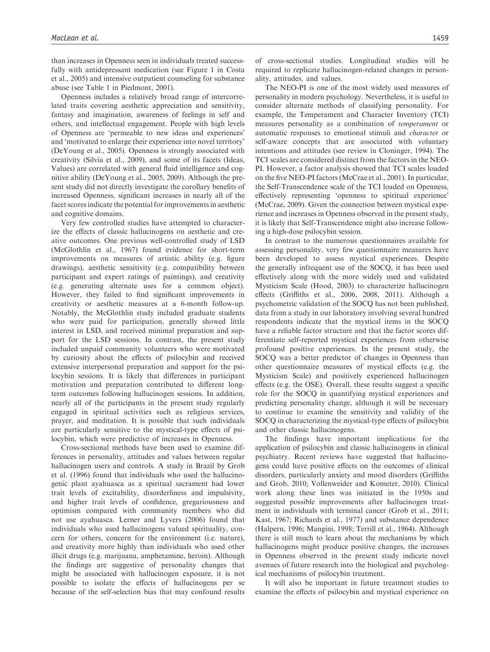than increases in Openness seen in individuals treated successfully with antidepressant medication (see Figure 1 in Costa et al., 2005) and intensive outpatient counseling for substance abuse (see Table 1 in Piedmont, 2001).

Openness includes a relatively broad range of intercorrelated traits covering aesthetic appreciation and sensitivity, fantasy and imagination, awareness of feelings in self and others, and intellectual engagement. People with high levels of Openness are 'permeable to new ideas and experiences' and 'motivated to enlarge their experience into novel territory' (DeYoung et al., 2005). Openness is strongly associated with creativity (Silvia et al., 2009), and some of its facets (Ideas, Values) are correlated with general fluid intelligence and cognitive ability (DeYoung et al., 2005, 2009). Although the present study did not directly investigate the corollary benefits of increased Openness, significant increases in nearly all of the facet scores indicate the potential for improvements in aesthetic and cognitive domains.

Very few controlled studies have attempted to characterize the effects of classic hallucinogens on aesthetic and creative outcomes. One previous well-controlled study of LSD (McGlothlin et al., 1967) found evidence for short-term improvements on measures of artistic ability (e.g. figure drawings), aesthetic sensitivity (e.g. compatibility between participant and expert ratings of paintings), and creativity (e.g. generating alternate uses for a common object). However, they failed to find significant improvements in creativity or aesthetic measures at a 6-month follow-up. Notably, the McGlothlin study included graduate students who were paid for participation, generally showed little interest in LSD, and received minimal preparation and support for the LSD sessions. In contrast, the present study included unpaid community volunteers who were motivated by curiosity about the effects of psilocybin and received extensive interpersonal preparation and support for the psilocybin sessions. It is likely that differences in participant motivation and preparation contributed to different longterm outcomes following hallucinogen sessions. In addition, nearly all of the participants in the present study regularly engaged in spiritual activities such as religious services, prayer, and meditation. It is possible that such individuals are particularly sensitive to the mystical-type effects of psilocybin, which were predictive of increases in Openness.

Cross-sectional methods have been used to examine differences in personality, attitudes and values between regular hallucinogen users and controls. A study in Brazil by Grob et al. (1996) found that individuals who used the hallucinogenic plant ayahuasca as a spiritual sacrament had lower trait levels of excitability, disorderliness and impulsivity, and higher trait levels of confidence, gregariousness and optimism compared with community members who did not use ayahuasca. Lerner and Lyvers (2006) found that individuals who used hallucinogens valued spirituality, concern for others, concern for the environment (i.e. nature), and creativity more highly than individuals who used other illicit drugs (e.g. marijuana, amphetamine, heroin). Although the findings are suggestive of personality changes that might be associated with hallucinogen exposure, it is not possible to isolate the effects of hallucinogens per se because of the self-selection bias that may confound results of cross-sectional studies. Longitudinal studies will be required to replicate hallucinogen-related changes in personality, attitudes, and values.

The NEO-PI is one of the most widely used measures of personality in modern psychology. Nevertheless, it is useful to consider alternate methods of classifying personality. For example, the Temperament and Character Inventory (TCI) measures personality as a combination of temperament or automatic responses to emotional stimuli and character or self-aware concepts that are associated with voluntary intentions and attitudes (see review in Cloninger, 1994). The TCI scales are considered distinct from the factors in the NEO-PI. However, a factor analysis showed that TCI scales loaded on the five NEO-PI factors (McCrae et al., 2001). In particular, the Self-Transcendence scale of the TCI loaded on Openness, effectively representing 'openness to spiritual experience' (McCrae, 2009). Given the connection between mystical experience and increases in Openness observed in the present study, it is likely that Self-Transcendence might also increase following a high-dose psilocybin session.

In contrast to the numerous questionnaires available for assessing personality, very few questionnaire measures have been developed to assess mystical experiences. Despite the generally infrequent use of the SOCQ, it has been used effectively along with the more widely used and validated Mysticism Scale (Hood, 2003) to characterize hallucinogen effects (Griffiths et al., 2006, 2008, 2011). Although a psychometric validation of the SOCQ has not been published, data from a study in our laboratory involving several hundred respondents indicate that the mystical items in the SOCQ have a reliable factor structure and that the factor scores differentiate self-reported mystical experiences from otherwise profound positive experiences. In the present study, the SOCQ was a better predictor of changes in Openness than other questionnaire measures of mystical effects (e.g. the Mysticism Scale) and positively experienced hallucinogen effects (e.g. the OSE). Overall, these results suggest a specific role for the SOCQ in quantifying mystical experiences and predicting personality change, although it will be necessary to continue to examine the sensitivity and validity of the SOCQ in characterizing the mystical-type effects of psilocybin and other classic hallucinogens.

The findings have important implications for the application of psilocybin and classic hallucinogens in clinical psychiatry. Recent reviews have suggested that hallucinogens could have positive effects on the outcomes of clinical disorders, particularly anxiety and mood disorders (Griffiths and Grob, 2010; Vollenweider and Kometer, 2010). Clinical work along these lines was initiated in the 1950s and suggested possible improvements after hallucinogen treatment in individuals with terminal cancer (Grob et al., 2011; Kast, 1967; Richards et al., 1977) and substance dependence (Halpern, 1996; Mangini, 1998; Terrill et al., 1964). Although there is still much to learn about the mechanisms by which hallucinogens might produce positive changes, the increases in Openness observed in the present study indicate novel avenues of future research into the biological and psychological mechanisms of psilocybin treatment.

It will also be important in future treatment studies to examine the effects of psilocybin and mystical experience on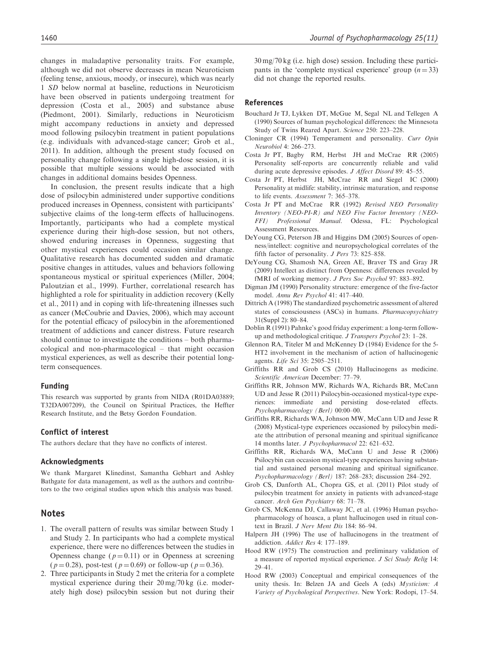changes in maladaptive personality traits. For example, although we did not observe decreases in mean Neuroticism (feeling tense, anxious, moody, or insecure), which was nearly 1 SD below normal at baseline, reductions in Neuroticism have been observed in patients undergoing treatment for depression (Costa et al., 2005) and substance abuse (Piedmont, 2001). Similarly, reductions in Neuroticism might accompany reductions in anxiety and depressed mood following psilocybin treatment in patient populations (e.g. individuals with advanced-stage cancer; Grob et al., 2011). In addition, although the present study focused on personality change following a single high-dose session, it is possible that multiple sessions would be associated with changes in additional domains besides Openness.

In conclusion, the present results indicate that a high dose of psilocybin administered under supportive conditions produced increases in Openness, consistent with participants' subjective claims of the long-term effects of hallucinogens. Importantly, participants who had a complete mystical experience during their high-dose session, but not others, showed enduring increases in Openness, suggesting that other mystical experiences could occasion similar change. Qualitative research has documented sudden and dramatic positive changes in attitudes, values and behaviors following spontaneous mystical or spiritual experiences (Miller, 2004; Paloutzian et al., 1999). Further, correlational research has highlighted a role for spirituality in addiction recovery (Kelly et al., 2011) and in coping with life-threatening illnesses such as cancer (McCoubrie and Davies, 2006), which may account for the potential efficacy of psilocybin in the aforementioned treatment of addictions and cancer distress. Future research should continue to investigate the conditions – both pharmacological and non-pharmacological – that might occasion mystical experiences, as well as describe their potential longterm consequences.

#### Funding

This research was supported by grants from NIDA (R01DA03889; T32DA007209), the Council on Spiritual Practices, the Heffter Research Institute, and the Betsy Gordon Foundation.

#### Conflict of interest

The authors declare that they have no conflicts of interest.

#### Acknowledgments

We thank Margaret Klinedinst, Samantha Gebhart and Ashley Bathgate for data management, as well as the authors and contributors to the two original studies upon which this analysis was based.

## Notes

- 1. The overall pattern of results was similar between Study 1 and Study 2. In participants who had a complete mystical experience, there were no differences between the studies in Openness change ( $p = 0.11$ ) or in Openness at screening  $(p = 0.28)$ , post-test  $(p = 0.69)$  or follow-up  $(p = 0.36)$ .
- 2. Three participants in Study 2 met the criteria for a complete mystical experience during their 20 mg/70 kg (i.e. moderately high dose) psilocybin session but not during their

30 mg/70 kg (i.e. high dose) session. Including these participants in the 'complete mystical experience' group  $(n = 33)$ did not change the reported results.

## References

- Bouchard Jr TJ, Lykken DT, McGue M, Segal NL and Tellegen A (1990) Sources of human psychological differences: the Minnesota Study of Twins Reared Apart. Science 250: 223–228.
- Cloninger CR (1994) Temperament and personality. Curr Opin Neurobiol 4: 266–273.
- Costa Jr PT, Bagby RM, Herbst JH and McCrae RR (2005) Personality self-reports are concurrently reliable and valid during acute depressive episodes. J Affect Disord 89: 45-55.
- Costa Jr PT, Herbst JH, McCrae RR and Siegel IC (2000) Personality at midlife: stability, intrinsic maturation, and response to life events. Assessment 7: 365–378.
- Costa Jr PT and McCrae RR (1992) Revised NEO Personality Inventory (NEO-PI-R) and NEO Five Factor Inventory (NEO-FFI) Professional Manual. Odessa, FL: Psychological Assessment Resources.
- DeYoung CG, Peterson JB and Higgins DM (2005) Sources of openness/intellect: cognitive and neuropsychological correlates of the fifth factor of personality. J Pers 73: 825–858.
- DeYoung CG, Shamosh NA, Green AE, Braver TS and Gray JR (2009) Intellect as distinct from Openness: differences revealed by fMRI of working memory. J Pers Soc Psychol 97: 883-892.
- Digman JM (1990) Personality structure: emergence of the five-factor model. Annu Rev Psychol 41: 417–440.
- Dittrich A (1998) The standardized psychometric assessment of altered states of consciousness (ASCs) in humans. Pharmacopsychiatry 31(Suppl 2): 80–84.
- Doblin R (1991) Pahnke's good friday experiment: a long-term followup and methodological critique. J Transpers Psychol 23: 1–28.
- Glennon RA, Titeler M and McKenney D (1984) Evidence for the 5- HT2 involvement in the mechanism of action of hallucinogenic agents. Life Sci 35: 2505–2511.
- Griffiths RR and Grob CS (2010) Hallucinogens as medicine. Scientific American December: 77–79.
- Griffiths RR, Johnson MW, Richards WA, Richards BR, McCann UD and Jesse R (2011) Psilocybin-occasioned mystical-type experiences: immediate and persisting dose-related effects. Psychopharmacology (Berl) 00:00–00.
- Griffiths RR, Richards WA, Johnson MW, McCann UD and Jesse R (2008) Mystical-type experiences occasioned by psilocybin mediate the attribution of personal meaning and spiritual significance 14 months later. J Psychopharmacol 22: 621–632.
- Griffiths RR, Richards WA, McCann U and Jesse R (2006) Psilocybin can occasion mystical-type experiences having substantial and sustained personal meaning and spiritual significance. Psychopharmacology (Berl) 187: 268–283; discussion 284–292.
- Grob CS, Danforth AL, Chopra GS, et al. (2011) Pilot study of psilocybin treatment for anxiety in patients with advanced-stage cancer. Arch Gen Psychiatry 68: 71–78.
- Grob CS, McKenna DJ, Callaway JC, et al. (1996) Human psychopharmacology of hoasca, a plant hallucinogen used in ritual context in Brazil. J Nerv Ment Dis 184: 86–94.
- Halpern JH (1996) The use of hallucinogens in the treatment of addiction. Addict Res 4: 177–189.
- Hood RW (1975) The construction and preliminary validation of a measure of reported mystical experience. J Sci Study Relig 14: 29–41.
- Hood RW (2003) Conceptual and empirical consequences of the unity thesis. In: Belzen JA and Geels A (eds) Mysticism: A Variety of Psychological Perspectives. New York: Rodopi, 17–54.